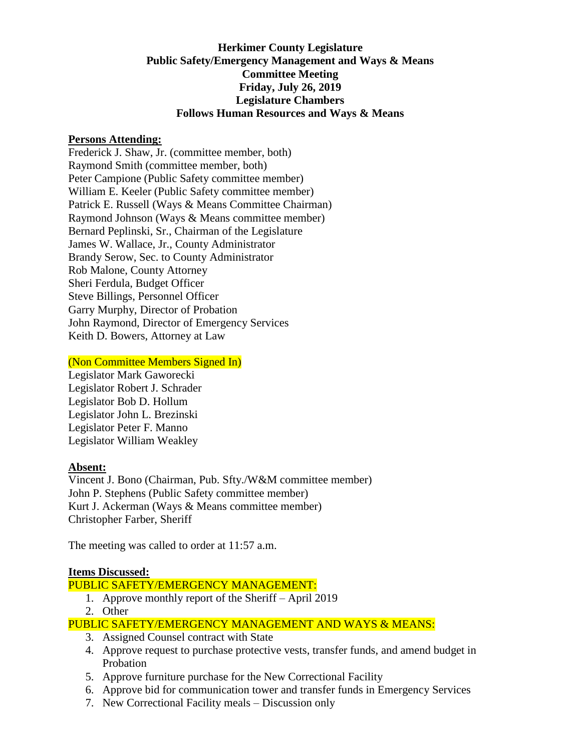# **Herkimer County Legislature Public Safety/Emergency Management and Ways & Means Committee Meeting Friday, July 26, 2019 Legislature Chambers Follows Human Resources and Ways & Means**

#### **Persons Attending:**

Frederick J. Shaw, Jr. (committee member, both) Raymond Smith (committee member, both) Peter Campione (Public Safety committee member) William E. Keeler (Public Safety committee member) Patrick E. Russell (Ways & Means Committee Chairman) Raymond Johnson (Ways & Means committee member) Bernard Peplinski, Sr., Chairman of the Legislature James W. Wallace, Jr., County Administrator Brandy Serow, Sec. to County Administrator Rob Malone, County Attorney Sheri Ferdula, Budget Officer Steve Billings, Personnel Officer Garry Murphy, Director of Probation John Raymond, Director of Emergency Services Keith D. Bowers, Attorney at Law

### (Non Committee Members Signed In)

Legislator Mark Gaworecki Legislator Robert J. Schrader Legislator Bob D. Hollum Legislator John L. Brezinski Legislator Peter F. Manno Legislator William Weakley

### **Absent:**

Vincent J. Bono (Chairman, Pub. Sfty./W&M committee member) John P. Stephens (Public Safety committee member) Kurt J. Ackerman (Ways & Means committee member) Christopher Farber, Sheriff

The meeting was called to order at 11:57 a.m.

### **Items Discussed:**

### PUBLIC SAFETY/EMERGENCY MANAGEMENT:

- 1. Approve monthly report of the Sheriff April 2019
- 2. Other

# PUBLIC SAFETY/EMERGENCY MANAGEMENT AND WAYS & MEANS:

- 3. Assigned Counsel contract with State
- 4. Approve request to purchase protective vests, transfer funds, and amend budget in Probation
- 5. Approve furniture purchase for the New Correctional Facility
- 6. Approve bid for communication tower and transfer funds in Emergency Services
- 7. New Correctional Facility meals Discussion only